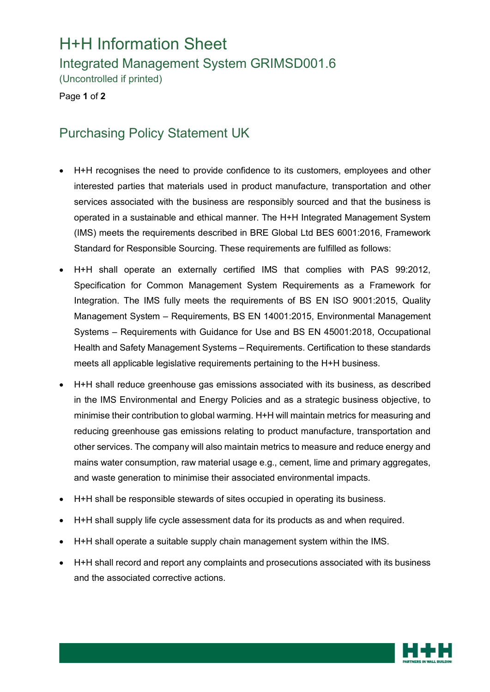## H+H Information Sheet

Integrated Management System GRIMSD001.6

(Uncontrolled if printed)

Page **1** of **2**

## Purchasing Policy Statement UK

- H+H recognises the need to provide confidence to its customers, employees and other interested parties that materials used in product manufacture, transportation and other services associated with the business are responsibly sourced and that the business is operated in a sustainable and ethical manner. The H+H Integrated Management System (IMS) meets the requirements described in BRE Global Ltd BES 6001:2016, Framework Standard for Responsible Sourcing. These requirements are fulfilled as follows:
- H+H shall operate an externally certified IMS that complies with PAS 99:2012, Specification for Common Management System Requirements as a Framework for Integration. The IMS fully meets the requirements of BS EN ISO 9001:2015, Quality Management System – Requirements, BS EN 14001:2015, Environmental Management Systems – Requirements with Guidance for Use and BS EN 45001:2018, Occupational Health and Safety Management Systems – Requirements. Certification to these standards meets all applicable legislative requirements pertaining to the H+H business.
- H+H shall reduce greenhouse gas emissions associated with its business, as described in the IMS Environmental and Energy Policies and as a strategic business objective, to minimise their contribution to global warming. H+H will maintain metrics for measuring and reducing greenhouse gas emissions relating to product manufacture, transportation and other services. The company will also maintain metrics to measure and reduce energy and mains water consumption, raw material usage e.g., cement, lime and primary aggregates, and waste generation to minimise their associated environmental impacts.
- H+H shall be responsible stewards of sites occupied in operating its business.
- H+H shall supply life cycle assessment data for its products as and when required.
- H+H shall operate a suitable supply chain management system within the IMS.
- H+H shall record and report any complaints and prosecutions associated with its business and the associated corrective actions.